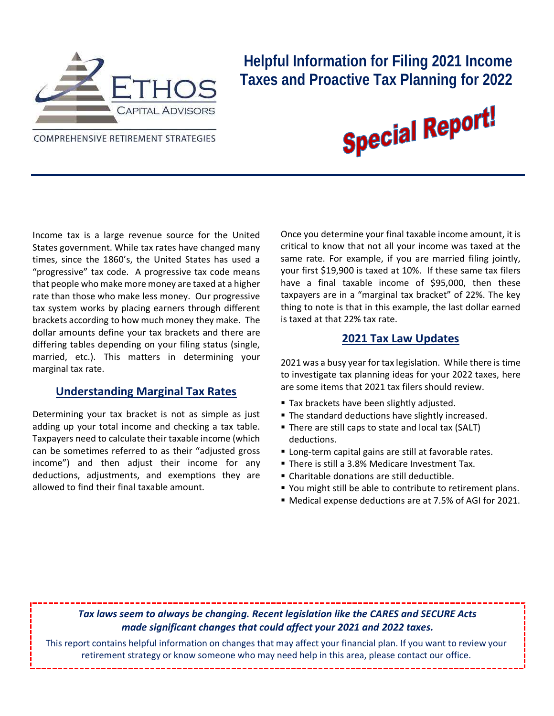

## **Helpful Information for Filing 2021 Income Taxes and Proactive Tax Planning for 2022**

**COMPREHENSIVE RETIREMENT STRATEGIES** 



Income tax is a large revenue source for the United States government. While tax rates have changed many times, since the 1860's, the United States has used a "progressive" tax code. A progressive tax code means that people who make more money are taxed at a higher rate than those who make less money. Our progressive tax system works by placing earners through different brackets according to how much money they make. The dollar amounts define your tax brackets and there are differing tables depending on your filing status (single, married, etc.). This matters in determining your marginal tax rate.

#### **Understanding Marginal Tax Rates**

Determining your tax bracket is not as simple as just adding up your total income and checking a tax table. Taxpayers need to calculate their taxable income (which can be sometimes referred to as their "adjusted gross income") and then adjust their income for any deductions, adjustments, and exemptions they are allowed to find their final taxable amount.

Once you determine your final taxable income amount, it is critical to know that not all your income was taxed at the same rate. For example, if you are married filing jointly, your first \$19,900 is taxed at 10%. If these same tax filers have a final taxable income of \$95,000, then these taxpayers are in a "marginal tax bracket" of 22%. The key thing to note is that in this example, the last dollar earned is taxed at that 22% tax rate.

#### **2021 Tax Law Updates**

2021 was a busy year for tax legislation. While there is time to investigate tax planning ideas for your 2022 taxes, here are some items that 2021 tax filers should review.

- **Tax brackets have been slightly adjusted.**
- **The standard deductions have slightly increased.**
- There are still caps to state and local tax (SALT) deductions.
- Long-term capital gains are still at favorable rates.
- There is still a 3.8% Medicare Investment Tax.
- Charitable donations are still deductible.
- You might still be able to contribute to retirement plans.
- Medical expense deductions are at 7.5% of AGI for 2021.

#### *Tax laws seem to always be changing. Recent legislation like the CARES and SECURE Acts made significant changes that could affect your 2021 and 2022 taxes.*

This report contains helpful information on changes that may affect your financial plan. If you want to review your retirement strategy or know someone who may need help in this area, please contact our office.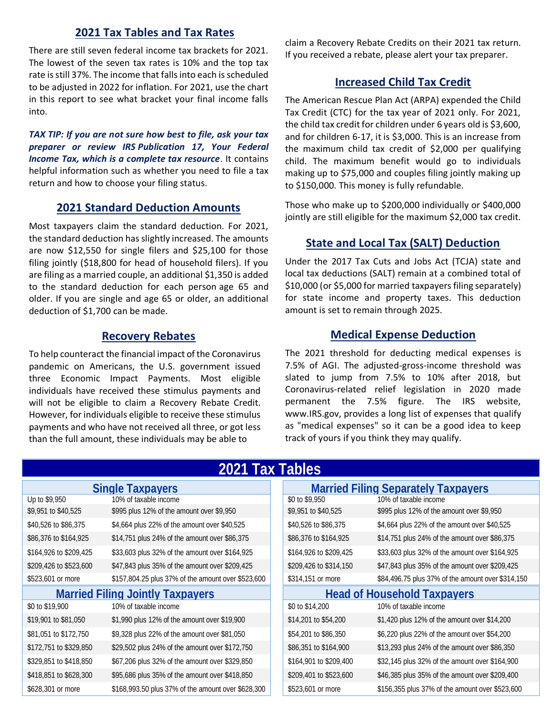#### **2021 Tax Tables and Tax Rates**

There are still seven federal income tax brackets for 2021. The lowest of the seven tax rates is 10% and the top tax rate is still 37%. The income that falls into each is scheduled to be adjusted in 2022 for inflation. For 2021, use the chart in this report to see what bracket your final income falls into.

*TAX TIP: If you are not sure how best to file, ask your tax preparer or review IRS [Publication 17,](https://www.irs.gov/uac/About-Publication-17) Your Federal Income Tax, which is a complete tax resource*. It contains helpful information such as whether you need to file a tax return and how to choose your filing status.

#### **2021 Standard Deduction Amounts**

Most taxpayers claim the standard deduction. For 2021, the standard deduction has slightly increased. The amounts are now \$12,550 for single filers and \$25,100 for those filing jointly (\$18,800 for head of household filers). If you are filing as a married couple, an additional \$1,350 is added to the standard deduction for each person [age 65 and](https://money.usnews.com/money/retirement/social-security/articles/the-social-security-retirement-age-increases-to-66-5-in-2019)  [older.](https://money.usnews.com/money/retirement/social-security/articles/the-social-security-retirement-age-increases-to-66-5-in-2019) If you are single and age 65 or older, an additional deduction of \$1,700 can be made.

#### **Recovery Rebates**

To help counteract the financial impact of the Coronavirus pandemic on Americans, the U.S. government issued three Economic Impact Payments. Most eligible individuals have received these stimulus payments and will not be eligible to claim a Recovery Rebate Credit. However, for individuals eligible to receive these stimulus payments and who have not received all three, or got less than the full amount, these individuals may be able to

claim a Recovery Rebate Credits on their 2021 tax return. If you received a rebate, please alert your tax preparer.

#### **Increased Child Tax Credit**

The American Rescue Plan Act (ARPA) expended the Child Tax Credit (CTC) for the tax year of 2021 only. For 2021, the child tax credit for children under 6 years old is \$3,600, and for children 6-17, it is \$3,000. This is an increase from the maximum child tax credit of \$2,000 per qualifying child. The maximum benefit would go to individuals making up to \$75,000 and couples filing jointly making up to \$150,000. This money is fully refundable.

Those who make up to \$200,000 individually or \$400,000 jointly are still eligible for the maximum \$2,000 tax credit.

#### **State and Local Tax (SALT) Deduction**

Under the 2017 Tax Cuts and Jobs Act (TCJA) state and local tax deductions (SALT) remain at a combined total of \$10,000 (or \$5,000 for married taxpayers filing separately) for state income and property taxes. This deduction amount is set to remain through 2025.

#### **Medical Expense Deduction**

The 2021 threshold for deducting medical expenses is 7.5% of AGI. The adjusted-gross-income threshold was slated to jump from 7.5% to 10% after 2018, but Coronavirus-related relief legislation in 2020 made permanent the 7.5% figure. The IRS website, www.IRS.gov, provides a [long list of expenses](https://www.irs.gov/publications/p502) that qualify as "medical expenses" so it can be a good idea to keep track of yours if you think they may qualify.

| 2021 Tax Tables                  |                                                    |  |                                     |                                                   |  |  |
|----------------------------------|----------------------------------------------------|--|-------------------------------------|---------------------------------------------------|--|--|
| <b>Single Taxpayers</b>          |                                                    |  | Married Filing Separately Taxpayers |                                                   |  |  |
| Up to \$9,950                    | 10% of taxable income                              |  | \$0 to \$9,950                      | 10% of taxable income                             |  |  |
| \$9,951 to \$40,525              | \$995 plus 12% of the amount over \$9,950          |  | \$9,951 to \$40,525                 | \$995 plus 12% of the amount over \$9,950         |  |  |
| \$40,526 to \$86,375             | \$4,664 plus 22% of the amount over \$40,525       |  | \$40,526 to \$86,375                | \$4,664 plus 22% of the amount over \$40,525      |  |  |
| \$86,376 to \$164,925            | \$14,751 plus 24% of the amount over \$86,375      |  | \$86,376 to \$164,925               | \$14,751 plus 24% of the amount over \$86,375     |  |  |
| \$164,926 to \$209,425           | \$33,603 plus 32% of the amount over \$164,925     |  | \$164,926 to \$209,425              | \$33,603 plus 32% of the amount over \$164,925    |  |  |
| \$209,426 to \$523,600           | \$47,843 plus 35% of the amount over \$209,425     |  | \$209,426 to \$314,150              | \$47,843 plus 35% of the amount over \$209,425    |  |  |
| \$523,601 or more                | \$157,804.25 plus 37% of the amount over \$523,600 |  | \$314,151 or more                   | \$84,496.75 plus 37% of the amount over \$314,150 |  |  |
| Married Filing Jointly Taxpayers |                                                    |  | <b>Head of Household Taxpayers</b>  |                                                   |  |  |
| \$0 to \$19,900                  | 10% of taxable income                              |  | \$0 to \$14,200                     | 10% of taxable income                             |  |  |
| \$19,901 to \$81,050             | \$1,990 plus 12% of the amount over \$19,900       |  | \$14,201 to \$54,200                | \$1,420 plus 12% of the amount over \$14,200      |  |  |
| \$81,051 to \$172,750            | \$9,328 plus 22% of the amount over \$81,050       |  | \$54,201 to \$86,350                | \$6,220 plus 22% of the amount over \$54,200      |  |  |
| \$172,751 to \$329,850           | \$29,502 plus 24% of the amount over \$172,750     |  | \$86,351 to \$164,900               | \$13,293 plus 24% of the amount over \$86,350     |  |  |
| \$329,851 to \$418,850           | \$67,206 plus 32% of the amount over \$329,850     |  | \$164,901 to \$209,400              | \$32,145 plus 32% of the amount over \$164,900    |  |  |
| \$418,851 to \$628,300           | \$95,686 plus 35% of the amount over \$418,850     |  | \$209,401 to \$523,600              | \$46,385 plus 35% of the amount over \$209,400    |  |  |
| \$628,301 or more                | \$168,993.50 plus 37% of the amount over \$628,300 |  | \$523,601 or more                   | \$156,355 plus 37% of the amount over \$523,600   |  |  |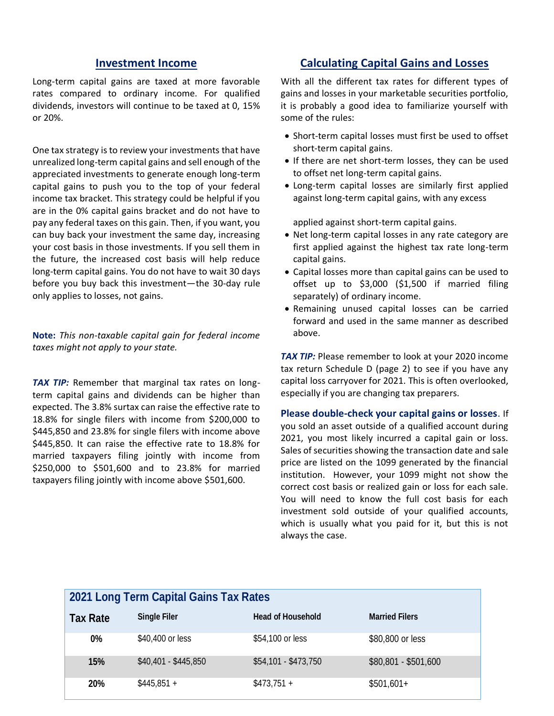#### **Investment Income**

Long-term capital gains are taxed at more favorable rates compared to ordinary income. For qualified dividends, investors will continue to be taxed at 0, 15% or 20%.

One tax strategy is to review your investments that have unrealized long-term capital gains and sell enough of the appreciated investments to generate enough long-term capital gains to push you to the top of your federal income tax bracket. This strategy could be helpful if you are in the 0% capital gains bracket and do not have to pay any federal taxes on this gain. Then, if you want, you can buy back your investment the same day, increasing your cost basis in those investments. If you sell them in the future, the increased cost basis will help reduce long-term capital gains. You do not have to wait 30 days before you buy back this investment—the 30-day rule only applies to losses, not gains.

**Note:** *This non-taxable capital gain for federal income taxes might not apply to your state.*

**TAX TIP:** Remember that marginal tax rates on longterm capital gains and dividends can be higher than expected. The 3.8% surtax can raise the effective rate to 18.8% for single filers with income from \$200,000 to \$445,850 and 23.8% for single filers with income above \$445,850. It can raise the effective rate to 18.8% for married taxpayers filing jointly with income from \$250,000 to \$501,600 and to 23.8% for married taxpayers filing jointly with income above \$501,600.

#### **Calculating Capital Gains and Losses**

With all the different tax rates for different types of gains and losses in your marketable securities portfolio, it is probably a good idea to familiarize yourself with some of the rules:

- Short-term capital losses must first be used to offset short-term capital gains.
- If there are net short-term losses, they can be used to offset net long-term capital gains.
- Long-term capital losses are similarly first applied against long-term capital gains, with any excess

applied against short-term capital gains.

- Net long-term capital losses in any rate category are first applied against the highest tax rate long-term capital gains.
- Capital losses more than capital gains can be used to offset up to \$3,000 (\$1,500 if married filing separately) of ordinary income.
- Remaining unused capital losses can be carried forward and used in the same manner as described above.

**TAX TIP:** Please remember to look at your 2020 income tax return Schedule D (page 2) to see if you have any capital loss carryover for 2021. This is often overlooked, especially if you are changing tax preparers.

**Please double-check your capital gains or losses**. If you sold an asset outside of a qualified account during 2021, you most likely incurred a capital gain or loss. Sales of securities showing the transaction date and sale price are listed on the 1099 generated by the financial institution. However, your 1099 might not show the correct cost basis or realized gain or loss for each sale. You will need to know the full cost basis for each investment sold outside of your qualified accounts, which is usually what you paid for it, but this is not always the case.

| 2021 Long Term Capital Gains Tax Rates |                      |                      |                      |  |  |
|----------------------------------------|----------------------|----------------------|----------------------|--|--|
| Tax Rate                               | Single Filer         | Head of Household    | Married Filers       |  |  |
| 0%                                     | \$40,400 or less     | \$54,100 or less     | \$80,800 or less     |  |  |
| 15%                                    | \$40,401 - \$445,850 | $$54,101 - $473,750$ | $$80,801 - $501,600$ |  |  |
| 20%                                    | $$445,851 +$         | $$473,751 +$         | $$501,601+$          |  |  |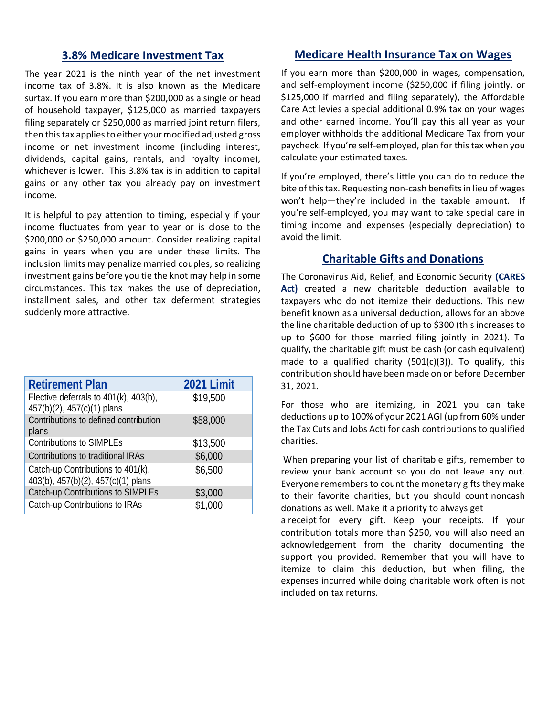#### **3.8% Medicare Investment Tax**

The year 2021 is the ninth year of the net investment income tax of 3.8%. It is also known as the Medicare surtax. If you earn more than \$200,000 as a single or head of household taxpayer, \$125,000 as married taxpayers filing separately or \$250,000 as married joint return filers, then this tax applies to either your modified adjusted gross income or net investment income (including interest, dividends, capital gains, rentals, and royalty income), whichever is lower. This 3.8% tax is in addition to capital gains or any other tax you already pay on investment income.

It is helpful to pay attention to timing, especially if your income fluctuates from year to year or is close to the \$200,000 or \$250,000 amount. Consider realizing capital gains in years when you are under these limits. The inclusion limits may penalize married couples, so realizing investment gains before you tie the knot may help in some circumstances. This tax makes the use of depreciation, installment sales, and other tax deferment strategies suddenly more attractive.

| <b>Retirement Plan</b>                                                  | 2021 Limit |
|-------------------------------------------------------------------------|------------|
| Elective deferrals to 401(k), 403(b),<br>457(b)(2), 457(c)(1) plans     | \$19,500   |
| Contributions to defined contribution<br>plans                          | \$58,000   |
| Contributions to SIMPLEs                                                | \$13,500   |
| Contributions to traditional IRAs                                       | \$6,000    |
| Catch-up Contributions to 401(k),<br>403(b), 457(b)(2), 457(c)(1) plans | \$6,500    |
| Catch-up Contributions to SIMPLEs                                       | \$3,000    |
| Catch-up Contributions to IRAs                                          | \$1,000    |
|                                                                         |            |

#### **Medicare Health Insurance Tax on Wages**

If you earn more than \$200,000 in wages, compensation, and self-employment income (\$250,000 if filing jointly, or \$125,000 if married and filing separately), the Affordable Care Act levies a special additional 0.9% tax on your wages and other earned income. You'll pay this all year as your employer withholds the additional Medicare Tax from your paycheck. If you're self-employed, plan for this tax when you calculate your estimated taxes.

If you're employed, there's little you can do to reduce the bite of this tax. Requesting non-cash benefits in lieu of wages won't help—they're included in the taxable amount. If you're self-employed, you may want to take special care in timing income and expenses (especially depreciation) to avoid the limit.

#### **Charitable Gifts and Donations**

The Coronavirus Aid, Relief, and Economic Security **(CARES Act)** created a new charitable deduction available to taxpayers who do not itemize their deductions. This new benefit known as a universal deduction, allows for an above the line charitable deduction of up to \$300 (this increases to up to \$600 for those married filing jointly in 2021). To qualify, the charitable gift must be cash (or cash equivalent) made to a qualified charity  $(501(c)(3))$ . To qualify, this contribution should have been made on or before December 31, 2021.

For those who are itemizing, in 2021 you can take deductions up to 100% of your 2021 AGI (up from 60% under the Tax Cuts and Jobs Act) for cash contributions to qualified charities.

When preparing your list of charitable gifts, remember to review your bank account so you do not leave any out. Everyone remembers to count the monetary gifts they make to their favorite charities, but you should count [noncash](http://dontmesswithtaxes.typepad.com/dont_mess_with_taxes/2012/09/religious-groups-lead-the-charitable-donation-category.html)  [donations](http://dontmesswithtaxes.typepad.com/dont_mess_with_taxes/2012/09/religious-groups-lead-the-charitable-donation-category.html) as well. Make it a priority to always get

a [receipt](http://dontmesswithtaxes.typepad.com/dont_mess_with_taxes/2010/06/deductions-demand-documentation.html) for every gift. Keep your receipts. If your contribution totals more than \$250, you will also need an acknowledgement from the charity documenting the support you provided. Remember that you will have to itemize to claim this deduction, but when filing, the expenses incurred while doing charitable work often is not included on tax returns.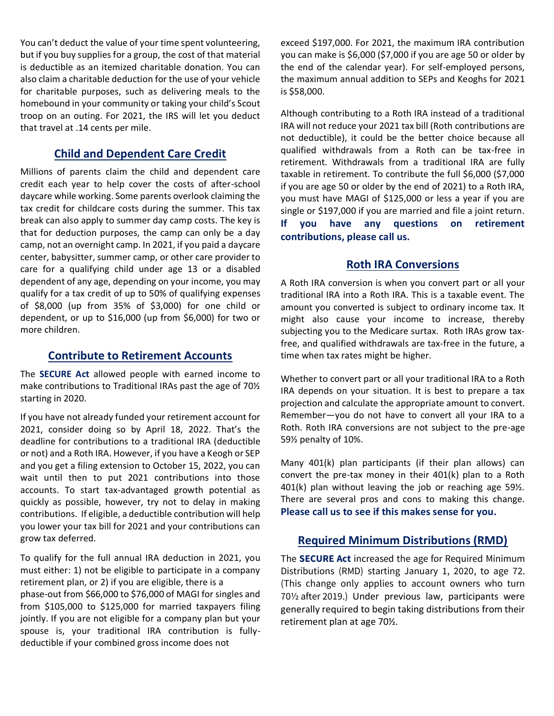You can't deduct the value of your time spent volunteering, but if you buy supplies for a group, the cost of that material is deductible as an itemized charitable donation. You can also claim a charitable deduction for the use of your vehicle for charitable purposes, such as delivering meals to the homebound in your community or taking your child's Scout troop on an outing. For 2021, the IRS will let you deduct that travel at .14 cents per mile.

#### **Child and Dependent Care Credit**

Millions of parents claim the child and dependent care credit each year to help cover the costs of after-school daycare while working. Some parents overlook claiming the tax credit for childcare costs during the summer. This tax break can also apply to summer day camp costs. The key is that for deduction purposes, the camp can only be a day camp, not an overnight camp. In 2021, if you paid a daycare center, babysitter, summer camp, or other care provider to care for a qualifying child under age 13 or a disabled dependent of any age, depending on your income, you may qualify for a tax credit of up to 50% of qualifying expenses of \$8,000 (up from 35% of \$3,000) for one child or dependent, or up to \$16,000 (up from \$6,000) for two or more children.

#### **Contribute to Retirement Accounts**

The **SECURE Act** allowed people with earned income to make contributions to Traditional IRAs past the age of 70½ starting in 2020.

If you have not already funded your retirement account for 2021, consider doing so by April 18, 2022. That's the deadline for contributions to a traditional IRA (deductible or not) and a Roth IRA. However, if you have a Keogh or SEP and you get a filing extension to October 15, 2022, you can wait until then to put 2021 contributions into those accounts. To start tax-advantaged growth potential as quickly as possible, however, try not to delay in making contributions. If eligible, a deductible contribution will help you lower your tax bill for 2021 and your contributions can grow tax deferred.

To qualify for the full annual IRA deduction in 2021, you must either: 1) not be eligible to participate in a company retirement plan, or 2) if you are eligible, there is a phase-out from \$66,000 to \$76,000 of MAGI for singles and from \$105,000 to \$125,000 for married taxpayers filing jointly. If you are not eligible for a company plan but your spouse is, your traditional IRA contribution is fullydeductible if your combined gross income does not

exceed \$197,000. For 2021, the maximum IRA contribution you can make is \$6,000 (\$7,000 if you are age 50 or older by the end of the calendar year). For self-employed persons, the maximum annual addition to SEPs and Keoghs for 2021 is \$58,000.

Although contributing to a Roth IRA instead of a traditional IRA will not reduce your 2021 tax bill (Roth contributions are not deductible), it could be the better choice because all qualified withdrawals from a Roth can be tax-free in retirement. Withdrawals from a traditional IRA are fully taxable in retirement. To contribute the full \$6,000 (\$7,000 if you are age 50 or older by the end of 2021) to a Roth IRA, you must have MAGI of \$125,000 or less a year if you are single or \$197,000 if you are married and file a joint return. **If you have any questions on retirement contributions, please call us.**

#### **Roth IRA Conversions**

A Roth IRA conversion is when you convert part or all your traditional IRA into a Roth IRA. This is a taxable event. The amount you converted is subject to ordinary income tax. It might also cause your income to increase, thereby subjecting you to the Medicare surtax. Roth IRAs grow taxfree, and qualified withdrawals are tax-free in the future, a time when tax rates might be higher.

Whether to convert part or all your traditional IRA to a Roth IRA depends on your situation. It is best to prepare a tax projection and calculate the appropriate amount to convert. Remember—you do not have to convert all your IRA to a Roth. Roth IRA conversions are not subject to the pre-age 59½ penalty of 10%.

Many 401(k) plan participants (if their plan allows) can convert the pre-tax money in their 401(k) plan to a Roth 401(k) plan without leaving the job or reaching age 59½. There are several pros and cons to making this change. **Please call us to see if this makes sense for you.**

#### **Required Minimum Distributions (RMD)**

The **SECURE Act** increased the age for Required Minimum Distributions (RMD) starting January 1, 2020, to age 72. (This change only applies to account owners who turn 70½ after 2019.) Under previous law, participants were generally required to begin taking distributions from their retirement plan at age 70½.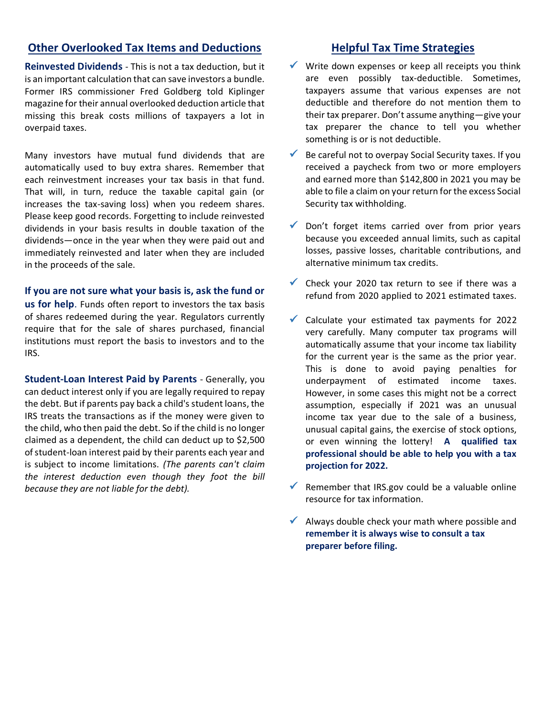#### **Other Overlooked Tax Items and Deductions**

**Reinvested Dividends** - This is not a tax deduction, but it is an important calculation that can save investors a bundle. Former IRS commissioner Fred Goldberg told Kiplinger magazine for their annual overlooked deduction article that missing this break costs millions of taxpayers a lot in overpaid taxes.

Many investors have mutual fund dividends that are automatically used to buy extra shares. Remember that each reinvestment increases your tax basis in that fund. That will, in turn, reduce the taxable capital gain (or increases the tax-saving loss) when you redeem shares. Please keep good records. Forgetting to include reinvested dividends in your basis results in double taxation of the dividends—once in the year when they were paid out and immediately reinvested and later when they are included in the proceeds of the sale.

#### **If you are not sure what your basis is, ask the fund or**

**us for help**. Funds often report to investors the tax basis of shares redeemed during the year. Regulators currently require that for the sale of shares purchased, financial institutions must report the basis to investors and to the IRS.

**Student-Loan Interest Paid by Parents** - Generally, you can deduct interest only if you are legally required to repay the debt. But if parents pay back a child's student loans, the IRS treats the transactions as if the money were given to the child, who then paid the debt. So if the child is no longer claimed as a dependent, the child can deduct up to \$2,500 of student-loan interest paid by their parents each year and is subject to income limitations. *(The parents can't claim the interest deduction even though they foot the bill because they are not liable for the debt).*

#### **Helpful Tax Time Strategies**

- $\checkmark$  Write down expenses or keep all receipts you think are even possibly tax-deductible. Sometimes, taxpayers assume that various expenses are not deductible and therefore do not mention them to their tax preparer. Don't assume anything—give your tax preparer the chance to tell you whether something is or is not deductible.
- $\checkmark$  Be careful not to overpay Social Security taxes. If you received a paycheck from two or more employers and earned more than \$142,800 in 2021 you may be able to file a claim on your return for the excess Social Security tax withholding.
- $\sqrt{\ }$  Don't forget items carried over from prior years because you exceeded annual limits, such as capital losses, passive losses, charitable contributions, and alternative minimum tax credits.
- $\checkmark$  Check your 2020 tax return to see if there was a refund from 2020 applied to 2021 estimated taxes.
- ✓ Calculate your estimated tax payments for 2022 very carefully. Many computer tax programs will automatically assume that your income tax liability for the current year is the same as the prior year. This is done to avoid paying penalties for underpayment of estimated income taxes. However, in some cases this might not be a correct assumption, especially if 2021 was an unusual income tax year due to the sale of a business, unusual capital gains, the exercise of stock options, or even winning the lottery! **A qualified tax professional should be able to help you with a tax projection for 2022.**
- $\checkmark$  Remember that IRS.gov could be a valuable online resource for tax information.
- $\checkmark$  Always double check your math where possible and **remember it is always wise to consult a tax preparer before filing.**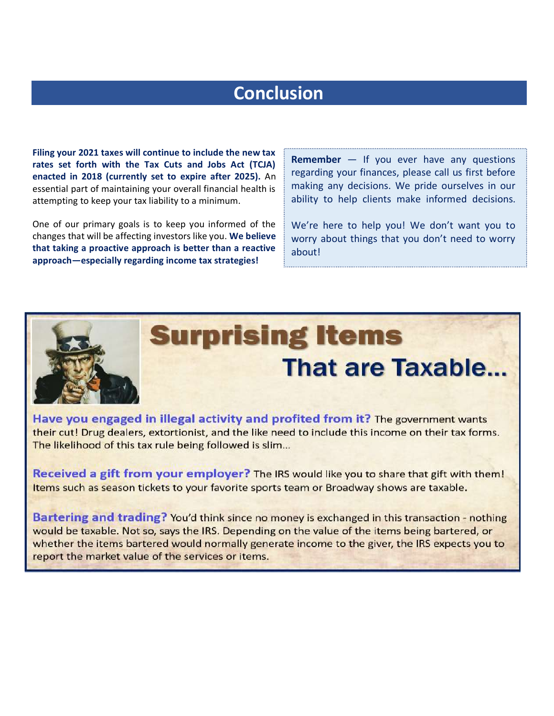# **Conclusion**

**Filing your 2021 taxes will continue to include the new tax rates set forth with the Tax Cuts and Jobs Act (TCJA) enacted in 2018 (currently set to expire after 2025).** An essential part of maintaining your overall financial health is attempting to keep your tax liability to a minimum.

One of our primary goals is to keep you informed of the changes that will be affecting investors like you. **We believe that taking a proactive approach is better than a reactive approach—especially regarding income tax strategies!** 

**Remember** — If you ever have any questions regarding your finances, please call us first before making any decisions. We pride ourselves in our ability to help clients make informed decisions.

We're here to help you! We don't want you to worry about things that you don't need to worry about!



# **Surprising Items That are Taxable...**

Have you engaged in illegal activity and profited from it? The government wants their cut! Drug dealers, extortionist, and the like need to include this income on their tax forms. The likelihood of this tax rule being followed is slim...

Received a gift from your employer? The IRS would like you to share that gift with them! Items such as season tickets to your favorite sports team or Broadway shows are taxable.

Bartering and trading? You'd think since no money is exchanged in this transaction - nothing would be taxable. Not so, says the IRS. Depending on the value of the items being bartered, or whether the items bartered would normally generate income to the giver, the IRS expects you to report the market value of the services or items.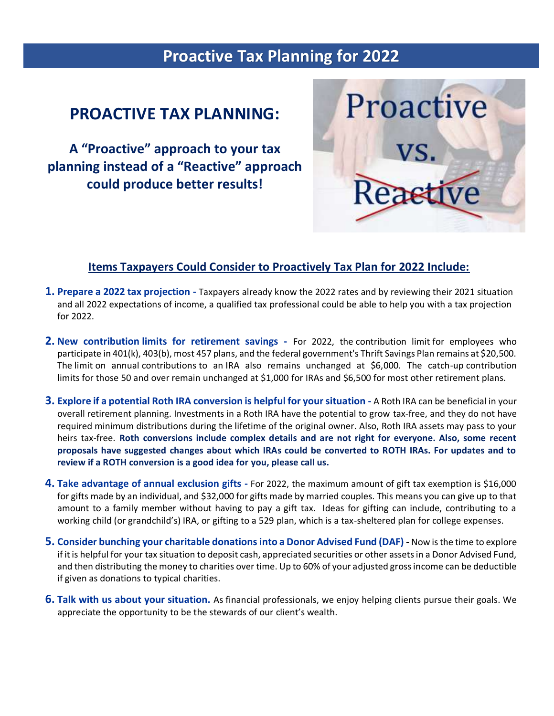# **Proactive Tax Planning for 2022**

## **PROACTIVE TAX PLANNING:**

**A "Proactive" approach to your tax planning instead of a "Reactive" approach could produce better results!**



#### **Items Taxpayers Could Consider to Proactively Tax Plan for 2022 Include:**

- **1. Prepare a 2022 tax projection -** Taxpayers already know the 2022 rates and by reviewing their 2021 situation and all 2022 expectations of income, a qualified tax professional could be able to help you with a tax projection for 2022.
- **2. New contribution limits for retirement savings -** For 2022, the contribution limit for employees who participate in 401(k), 403(b), most 457 plans, and the federal government's Thrift Savings Plan remains at \$20,500. The limit on annual contributions to an IRA also remains unchanged at \$6,000. The catch-up contribution limits for those 50 and over remain unchanged at \$1,000 for IRAs and \$6,500 for most other retirement plans.
- **3. Explore if a potential Roth IRA conversion is helpful for your situation -** A Roth IRA can be beneficial in your overall retirement planning. Investments in a Roth IRA have the potential to grow tax-free, and they do not have required minimum distributions during the lifetime of the original owner. Also, Roth IRA assets may pass to your heirs tax-free. **Roth conversions include complex details and are not right for everyone. Also, some recent proposals have suggested changes about which IRAs could be converted to ROTH IRAs. For updates and to review if a ROTH conversion is a good idea for you, please call us.**
- **4. Take advantage of annual exclusion gifts -** For 2022, the maximum amount of gift tax exemption is \$16,000 for gifts made by an individual, and \$32,000 for gifts made by married couples. This means you can give up to that amount to a family member without having to pay a gift tax. Ideas for gifting can include, contributing to a working child (or grandchild's) IRA, or gifting to a 529 plan, which is a tax-sheltered plan for college expenses.
- **5. Consider bunching your charitable donations into a Donor Advised Fund (DAF) -** Now is the time to explore if it is helpful for your tax situation to deposit cash, appreciated securities or other assets in a Donor Advised Fund, and then distributing the money to charities over time. Up to 60% of your adjusted gross income can be deductible if given as donations to typical charities.
- **6. Talk with us about your situation.** As financial professionals, we enjoy helping clients pursue their goals. We appreciate the opportunity to be the stewards of our client's wealth.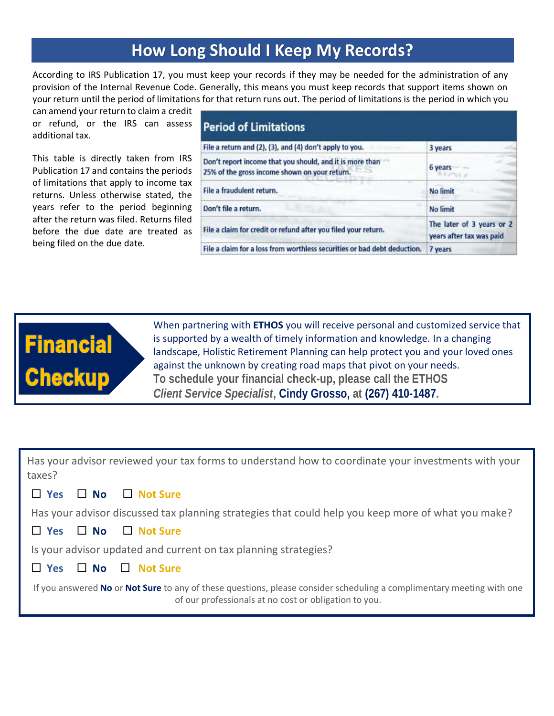## **How Long Should I Keep My Records?**

According to IRS Publication 17, you must keep your records if they may be needed for the administration of any provision of the Internal Revenue Code. Generally, this means you must keep records that support items shown on your return until the period of limitations for that return runs out. The period of limitations is the period in which you

can amend your return to claim a credit or refund, or the IRS can assess additional tax.

This table is directly taken from IRS Publication 17 and contains the periods of limitations that apply to income tax returns. Unless otherwise stated, the years refer to the period beginning after the return was filed. Returns filed before the due date are treated as being filed on the due date.

| <b>Period of Limitations</b>                                                                              |                                                       |  |  |  |
|-----------------------------------------------------------------------------------------------------------|-------------------------------------------------------|--|--|--|
| File a return and (2), (3), and (4) don't apply to you.                                                   | 3 years                                               |  |  |  |
| Don't report income that you should, and it is more than<br>25% of the gross income shown on your return. | 6 years                                               |  |  |  |
| File a fraudulent return.                                                                                 | <b>No limit</b>                                       |  |  |  |
| Don't file a return.                                                                                      | No limit                                              |  |  |  |
| File a claim for credit or refund after you filed your return.                                            | The later of 3 years or 2<br>years after tax was paid |  |  |  |
| File a claim for a loss from worthless securities or bad debt deduction.                                  | 7 years                                               |  |  |  |



When partnering with **ETHOS** you will receive personal and customized service that is supported by a wealth of timely information and knowledge. In a changing landscape, Holistic Retirement Planning can help protect you and your loved ones against the unknown by creating road maps that pivot on your needs. **To schedule your financial check-up, please call the ETHOS**  *Client Service Specialist***, Cindy Grosso, at (267) 410-1487.**

Has your advisor reviewed your tax forms to understand how to coordinate your investments with your taxes?

#### **Yes No Not Sure**

Has your advisor discussed tax planning strategies that could help you keep more of what you make?



Is your advisor updated and current on tax planning strategies?

#### **Yes No Not Sure**

If you answered **No** or **Not Sure** to any of these questions, please consider scheduling a complimentary meeting with one of our professionals at no cost or obligation to you.